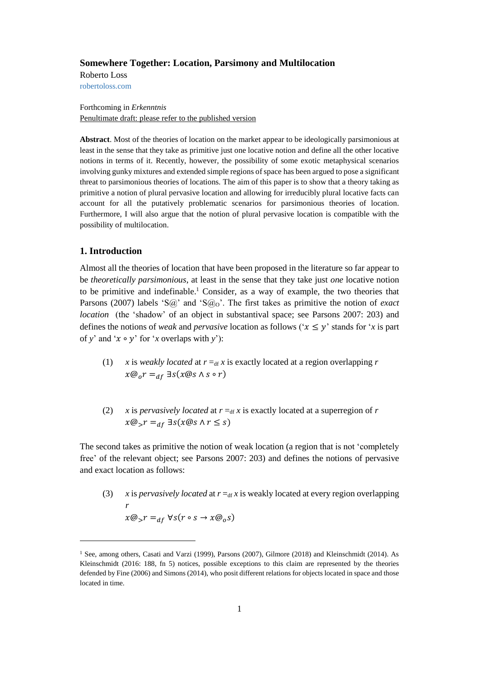### **Somewhere Together: Location, Parsimony and Multilocation**

Roberto Loss [robertoloss.com](mailto:robertoloss@gmail.com)

Forthcoming in *Erkenntnis* Penultimate draft: please refer to the published version

**Abstract**. Most of the theories of location on the market appear to be ideologically parsimonious at least in the sense that they take as primitive just one locative notion and define all the other locative notions in terms of it. Recently, however, the possibility of some exotic metaphysical scenarios involving gunky mixtures and extended simple regions of space has been argued to pose a significant threat to parsimonious theories of locations. The aim of this paper is to show that a theory taking as primitive a notion of plural pervasive location and allowing for irreducibly plural locative facts can account for all the putatively problematic scenarios for parsimonious theories of location. Furthermore, I will also argue that the notion of plural pervasive location is compatible with the possibility of multilocation.

## **1. Introduction**

l

Almost all the theories of location that have been proposed in the literature so far appear to be *theoretically parsimonious*, at least in the sense that they take just *one* locative notion to be primitive and indefinable.<sup>1</sup> Consider, as a way of example, the two theories that Parsons (2007) labels 'S@' and 'S@<sub>O</sub>'. The first takes as primitive the notion of *exact location* (the 'shadow' of an object in substantival space; see Parsons 2007: 203) and defines the notions of *weak* and *pervasive* location as follows (' $x \le y$ ' stands for '*x* is part of *y*' and ' $x \circ y$ ' for '*x* overlaps with *y*'):

- (1) *x* is *weakly located* at  $r =_{df} x$  is exactly located at a region overlapping *r*  $x@_{0}r =_{df} \exists s(x@s \wedge s \circ r)$
- (2) *x* is *pervasively located* at  $r =_{df} x$  is exactly located at a superregion of *r*  $x@_{>}r =_{df} \exists s(x@s \land r \leq s)$

The second takes as primitive the notion of weak location (a region that is not 'completely free' of the relevant object; see Parsons 2007: 203) and defines the notions of pervasive and exact location as follows:

(3) *x* is *pervasively located* at  $r =_{df} x$  is weakly located at every region overlapping *r*  $x@_{>}r =_{df} \forall s(r \circ s \rightarrow x@_{o}s)$ 

<sup>&</sup>lt;sup>1</sup> See, among others, Casati and Varzi (1999), Parsons (2007), Gilmore (2018) and Kleinschmidt (2014). As Kleinschmidt (2016: 188, fn 5) notices, possible exceptions to this claim are represented by the theories defended by Fine (2006) and Simons (2014), who posit different relations for objects located in space and those located in time.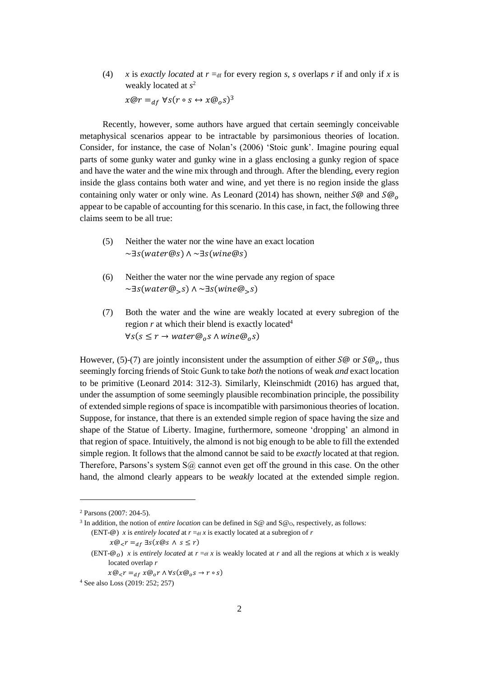(4) *x* is *exactly located* at  $r = df$  for every region *s*, *s* overlaps *r* if and only if *x* is weakly located at *s* 2  $x@r =_{df} \forall s (r \circ s \leftrightarrow x@_o s)^3$ 

Recently, however, some authors have argued that certain seemingly conceivable metaphysical scenarios appear to be intractable by parsimonious theories of location. Consider, for instance, the case of Nolan's (2006) 'Stoic gunk'. Imagine pouring equal parts of some gunky water and gunky wine in a glass enclosing a gunky region of space and have the water and the wine mix through and through. After the blending, every region inside the glass contains both water and wine, and yet there is no region inside the glass containing only water or only wine. As Leonard (2014) has shown, neither  $\overline{S}\omega$  and  $\overline{S}\omega$ <sub>o</sub> appear to be capable of accounting for this scenario. In this case, in fact, the following three claims seem to be all true:

- (5) Neither the water nor the wine have an exact location  $\sim$ ∃s(water@s)  $\land \sim$ ∃s(wine@s)
- (6) Neither the water nor the wine pervade any region of space  $\sim\exists s(water@_{S}) \wedge \sim\exists s(wine@_{S}s)$
- (7) Both the water and the wine are weakly located at every subregion of the region  $r$  at which their blend is exactly located<sup>4</sup>  $\forall s(s \leq r \rightarrow water@_0 s \land wine@_0 s)$

However, (5)-(7) are jointly inconsistent under the assumption of either  $\mathcal{S}(\mathcal{Q})$  or  $\mathcal{S}(\mathcal{Q})$ , thus seemingly forcing friends of Stoic Gunk to take *both* the notions of weak *and* exact location to be primitive (Leonard 2014: 312-3). Similarly, Kleinschmidt (2016) has argued that, under the assumption of some seemingly plausible recombination principle, the possibility of extended simple regions of space is incompatible with parsimonious theories of location. Suppose, for instance, that there is an extended simple region of space having the size and shape of the Statue of Liberty. Imagine, furthermore, someone 'dropping' an almond in that region of space. Intuitively, the almond is not big enough to be able to fill the extended simple region. It follows that the almond cannot be said to be *exactly* located at that region. Therefore, Parsons's system  $S(\hat{\omega})$  cannot even get off the ground in this case. On the other hand, the almond clearly appears to be *weakly* located at the extended simple region.

<sup>2</sup> Parsons (2007: 204-5).

<sup>&</sup>lt;sup>3</sup> In addition, the notion of *entire location* can be defined in  $S@$  and  $S@$ <sub>O</sub>, respectively, as follows: (ENT- $\omega$ ) *x* is *entirely located* at  $r = d$  *x* is exactly located at a subregion of *r* 

 $x@_{<}r =_{df} \exists s(x@s \land s \leq r)$ 

<sup>(</sup>ENT- $\mathcal{Q}_0$ ) *x* is *entirely located* at  $r = df x$  is weakly located at *r* and all the regions at which *x* is weakly located overlap *r*

 $x@_{<}r =_{df} x@_{0}r \wedge \forall s(x@_{0}s \rightarrow r \circ s)$ 

<sup>4</sup> See also Loss (2019: 252; 257)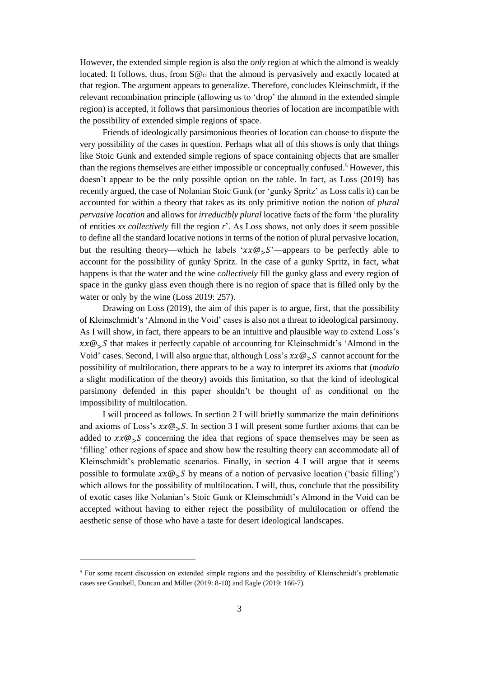However, the extended simple region is also the *only* region at which the almond is weakly located. It follows, thus, from  $S@$  that the almond is pervasively and exactly located at that region. The argument appears to generalize. Therefore, concludes Kleinschmidt, if the relevant recombination principle (allowing us to 'drop' the almond in the extended simple region) is accepted, it follows that parsimonious theories of location are incompatible with the possibility of extended simple regions of space.

Friends of ideologically parsimonious theories of location can choose to dispute the very possibility of the cases in question. Perhaps what all of this shows is only that things like Stoic Gunk and extended simple regions of space containing objects that are smaller than the regions themselves are either impossible or conceptually confused. <sup>5</sup> However, this doesn't appear to be the only possible option on the table. In fact, as Loss (2019) has recently argued, the case of Nolanian Stoic Gunk (or 'gunky Spritz' as Loss calls it) can be accounted for within a theory that takes as its only primitive notion the notion of *plural pervasive location* and allows for *irreducibly plural* locative facts of the form 'the plurality of entities *xx collectively* fill the region *r*'. As Loss shows, not only does it seem possible to define all the standard locative notions in terms of the notion of plural pervasive location, but the resulting theory—which he labels ' $xx@S$ '—appears to be perfectly able to account for the possibility of gunky Spritz. In the case of a gunky Spritz, in fact, what happens is that the water and the wine *collectively* fill the gunky glass and every region of space in the gunky glass even though there is no region of space that is filled only by the water or only by the wine (Loss 2019: 257).

Drawing on Loss (2019), the aim of this paper is to argue, first, that the possibility of Kleinschmidt's 'Almond in the Void' cases is also not a threat to ideological parsimony. As I will show, in fact, there appears to be an intuitive and plausible way to extend Loss's  $xx@_{>}S$  that makes it perfectly capable of accounting for Kleinschmidt's 'Almond in the Void' cases. Second, I will also argue that, although Loss's  $xx@_{>}S$  cannot account for the possibility of multilocation, there appears to be a way to interpret its axioms that (*modulo*  a slight modification of the theory) avoids this limitation, so that the kind of ideological parsimony defended in this paper shouldn't be thought of as conditional on the impossibility of multilocation.

I will proceed as follows. In section 2 I will briefly summarize the main definitions and axioms of Loss's  $xx@_{5}S$ . In section 3 I will present some further axioms that can be added to  $xx@_{>S}$  concerning the idea that regions of space themselves may be seen as 'filling' other regions of space and show how the resulting theory can accommodate all of Kleinschmidt's problematic scenarios. Finally, in section 4 I will argue that it seems possible to formulate  $xx@\_S$  by means of a notion of pervasive location ('basic filling') which allows for the possibility of multilocation. I will, thus, conclude that the possibility of exotic cases like Nolanian's Stoic Gunk or Kleinschmidt's Almond in the Void can be accepted without having to either reject the possibility of multilocation or offend the aesthetic sense of those who have a taste for desert ideological landscapes.

<sup>5</sup> For some recent discussion on extended simple regions and the possibility of Kleinschmidt's problematic cases see Goodsell, Duncan and Miller (2019: 8-10) and Eagle (2019: 166-7).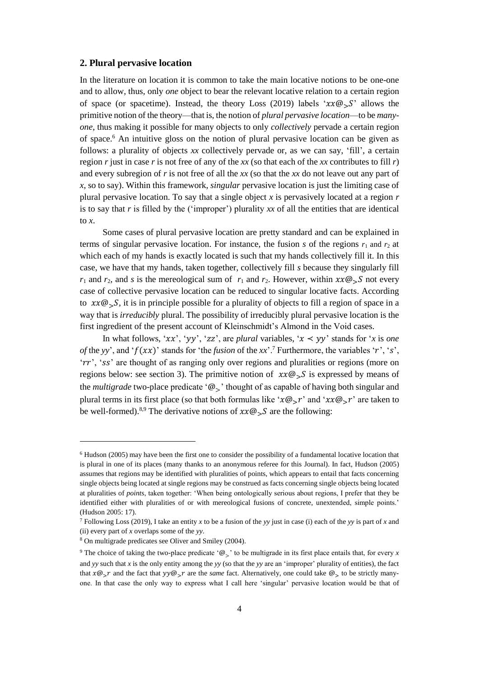## **2. Plural pervasive location**

In the literature on location it is common to take the main locative notions to be one-one and to allow, thus, only *one* object to bear the relevant locative relation to a certain region of space (or spacetime). Instead, the theory Loss (2019) labels ' $xx@\_S$ ' allows the primitive notion of the theory—that is, the notion of *plural pervasive location*—to be *manyone*, thus making it possible for many objects to only *collectively* pervade a certain region of space. <sup>6</sup> An intuitive gloss on the notion of plural pervasive location can be given as follows: a plurality of objects *xx* collectively pervade or, as we can say, 'fill', a certain region *r* just in case *r* is not free of any of the *xx* (so that each of the *xx* contributes to fill *r*) and every subregion of *r* is not free of all the *xx* (so that the *xx* do not leave out any part of *x*, so to say). Within this framework, *singular* pervasive location is just the limiting case of plural pervasive location. To say that a single object *x* is pervasively located at a region *r*  is to say that *r* is filled by the ('improper') plurality *xx* of all the entities that are identical to  $\mathfrak x$ .

Some cases of plural pervasive location are pretty standard and can be explained in terms of singular pervasive location. For instance, the fusion  $s$  of the regions  $r_1$  and  $r_2$  at which each of my hands is exactly located is such that my hands collectively fill it. In this case, we have that my hands, taken together, collectively fill *s* because they singularly fill  $r_1$  and  $r_2$ , and *s* is the mereological sum of  $r_1$  and  $r_2$ . However, within  $xx@sS$  not every case of collective pervasive location can be reduced to singular locative facts. According to  $xx@_{>}S$ , it is in principle possible for a plurality of objects to fill a region of space in a way that is *irreducibly* plural. The possibility of irreducibly plural pervasive location is the first ingredient of the present account of Kleinschmidt's Almond in the Void cases.

In what follows, ' $xx'$ , ' $yy'$ , ' $zz'$ , are *plural* variables, ' $x \leq yy'$ ' stands for '*x* is *one of* the *yy*', and ' $f(xx)$ ' stands for 'the *fusion* of the *xx*'.<sup>7</sup> Furthermore, the variables 'r', 's', ' $rr'$ , 'ss' are thought of as ranging only over regions and pluralities or regions (more on regions below: see section 3). The primitive notion of  $xx@_{S}S$  is expressed by means of the *multigrade* two-place predicate '@>' thought of as capable of having both singular and plural terms in its first place (so that both formulas like ' $x@_{\sigma}r'$ ' and ' $xx@_{\sigma}r'$ ' are taken to be well-formed).<sup>8,9</sup> The derivative notions of  $xx@_{>}S$  are the following:

 $6$  Hudson (2005) may have been the first one to consider the possibility of a fundamental locative location that is plural in one of its places (many thanks to an anonymous referee for this Journal). In fact, Hudson (2005) assumes that regions may be identified with pluralities of points, which appears to entail that facts concerning single objects being located at single regions may be construed as facts concerning single objects being located at pluralities of *points*, taken together: 'When being ontologically serious about regions, I prefer that they be identified either with pluralities of or with mereological fusions of concrete, unextended, simple points.' (Hudson 2005: 17).

<sup>7</sup> Following Loss (2019), I take an entity *x* to be a fusion of the *yy* just in case (i) each of the *yy* is part of *x* and (ii) every part of *x* overlaps some of the *yy*.

<sup>8</sup> On multigrade predicates see Oliver and Smiley (2004).

<sup>&</sup>lt;sup>9</sup> The choice of taking the two-place predicate ' $\mathcal{Q}_>$ ' to be multigrade in its first place entails that, for every *x* and *yy* such that *x* is the only entity among the *yy* (so that the *yy* are an 'improper' plurality of entities), the fact that  $x@$ <sub>></sub> $r$  and the fact that  $yy@$ <sub>></sub> $r$  are the *same* fact. Alternatively, one could take  $@$ <sub>></sub> to be strictly manyone. In that case the only way to express what I call here 'singular' pervasive location would be that of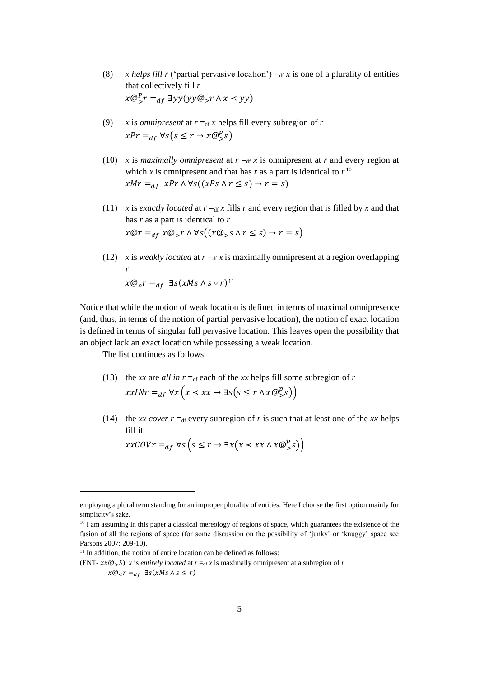- (8) *x helps fill r* ('partial pervasive location')  $=_{df} x$  is one of a plurality of entities that collectively fill *r*  $x@_{>}^{p}r =_{df} \exists yy(yy@_{>}r \wedge x \prec yy)$
- (9) *x* is *omnipresent* at  $r = df x$  helps fill every subregion of *r*  $xPr =_{df} \forall s(s \leq r \rightarrow x@^p_s s)$
- (10) *x* is *maximally omnipresent* at  $r =_{df} x$  is omnipresent at *r* and every region at which *x* is omnipresent and that has *r* as a part is identical to  $r^{10}$  $xMr =_{df} xPr \wedge \forall s((xPs \wedge r \leq s) \rightarrow r = s)$
- (11) *x* is *exactly located* at  $r =_{df} x$  fills *r* and every region that is filled by *x* and that has *r* as a part is identical to *r*  $x@r =_{df} x@_{r} r \wedge \forall s((x@_{r}s \wedge r \leq s) \rightarrow r = s)$
- (12) *x* is *weakly located* at  $r =_{df} x$  is maximally omnipresent at a region overlapping *r*  $x@_{o}r =_{df} \exists s(xMs \wedge s \circ r)^{11}$

Notice that while the notion of weak location is defined in terms of maximal omnipresence (and, thus, in terms of the notion of partial pervasive location), the notion of exact location is defined in terms of singular full pervasive location. This leaves open the possibility that an object lack an exact location while possessing a weak location.

The list continues as follows:

- (13) the *xx* are *all in*  $r = df$  each of the *xx* helps fill some subregion of *r*  $xxINT =_{df} \forall x (x \prec xx \rightarrow \exists s (s \leq r \land x @^p_s s))$
- (14) the *xx cover r* =  $_{df}$  every subregion of *r* is such that at least one of the *xx* helps fill it:

$$
xxCOVr =_{df} \forall s \left( s \leq r \rightarrow \exists x \left( x < xx \land x \mathcal{Q}_>^p s \right) \right)
$$

employing a plural term standing for an improper plurality of entities. Here I choose the first option mainly for simplicity's sake.

<sup>&</sup>lt;sup>10</sup> I am assuming in this paper a classical mereology of regions of space, which guarantees the existence of the fusion of all the regions of space (for some discussion on the possibility of 'junky' or 'knuggy' space see Parsons 2007: 209-10).

 $11$  In addition, the notion of entire location can be defined as follows:

<sup>(</sup>ENT- $xx@\_S$ ) *x* is *entirely located* at  $r =_{df} x$  is maximally omnipresent at a subregion of *r* 

 $x@_$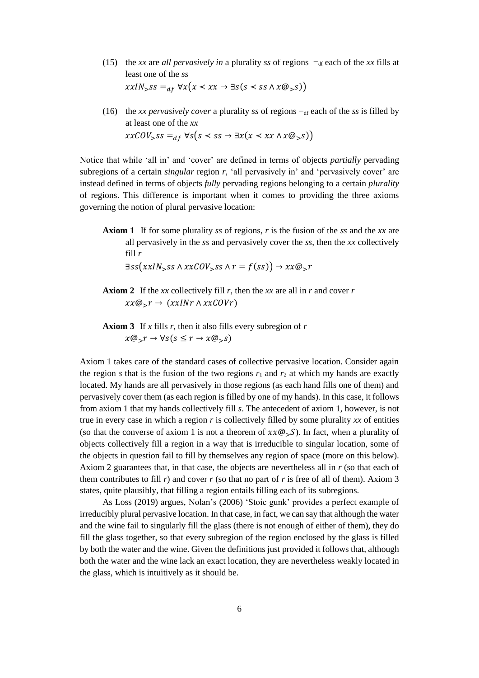- (15) the *xx* are *all pervasively in* a plurality *ss* of regions  $=_{df}$  each of the *xx* fills at least one of the *ss*  $xxIN_{&}ss =_{df} \forall x(x \leq xx \rightarrow \exists s(s \leq ss \land x@_{&}s))$
- (16) the *xx pervasively cover* a plurality *ss* of regions  $=_{df}$  each of the *ss* is filled by at least one of the *xx*  $xxCOV_{>ss =_{df} \forall s(s < ss \rightarrow \exists x(x < xx \land x@_{>}s))$

Notice that while 'all in' and 'cover' are defined in terms of objects *partially* pervading subregions of a certain *singular* region *r*, 'all pervasively in' and 'pervasively cover' are instead defined in terms of objects *fully* pervading regions belonging to a certain *plurality* of regions. This difference is important when it comes to providing the three axioms governing the notion of plural pervasive location:

**Axiom 1** If for some plurality *ss* of regions, *r* is the fusion of the *ss* and the *xx* are all pervasively in the *ss* and pervasively cover the *ss*, then the *xx* collectively fill *r*

$$
\exists ss(xxIN_{>}ss \land xxCOV_{>}ss \land r = f(ss)) \rightarrow xx@_{>}r
$$

- **Axiom 2** If the *xx* collectively fill *r*, then the *xx* are all in *r* and cover *r*  $xx@_{\mathcal{S}}r \rightarrow (xxINT \wedge xxCOVr)$
- **Axiom 3** If *x* fills *r*, then it also fills every subregion of *r*  $x@_{\gt}r \rightarrow \forall s(s \leq r \rightarrow x@_{\gt}s)$

Axiom 1 takes care of the standard cases of collective pervasive location. Consider again the region *s* that is the fusion of the two regions  $r_1$  and  $r_2$  at which my hands are exactly located. My hands are all pervasively in those regions (as each hand fills one of them) and pervasively cover them (as each region is filled by one of my hands). In this case, it follows from axiom 1 that my hands collectively fill *s*. The antecedent of axiom 1, however, is not true in every case in which a region *r* is collectively filled by some plurality *xx* of entities (so that the converse of axiom 1 is not a theorem of  $xx@_{>}S$ ). In fact, when a plurality of objects collectively fill a region in a way that is irreducible to singular location, some of the objects in question fail to fill by themselves any region of space (more on this below). Axiom 2 guarantees that, in that case, the objects are nevertheless all in *r* (so that each of them contributes to fill  $r$ ) and cover  $r$  (so that no part of  $r$  is free of all of them). Axiom 3 states, quite plausibly, that filling a region entails filling each of its subregions.

As Loss (2019) argues, Nolan's (2006) 'Stoic gunk' provides a perfect example of irreducibly plural pervasive location. In that case, in fact, we can say that although the water and the wine fail to singularly fill the glass (there is not enough of either of them), they do fill the glass together, so that every subregion of the region enclosed by the glass is filled by both the water and the wine. Given the definitions just provided it follows that, although both the water and the wine lack an exact location, they are nevertheless weakly located in the glass, which is intuitively as it should be.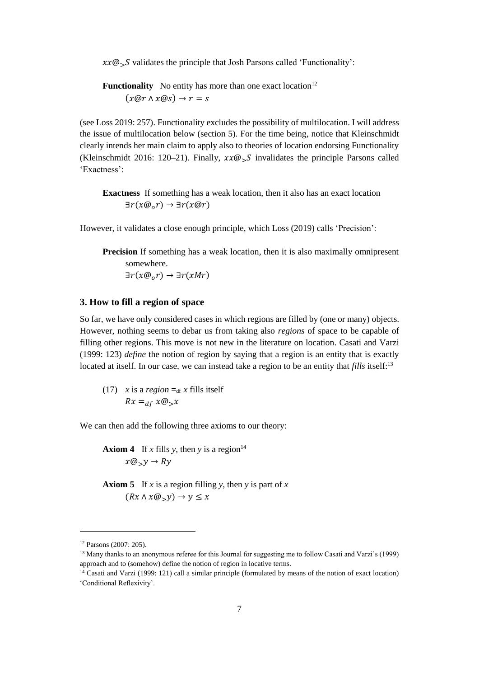$xx@_{>}S$  validates the principle that Josh Parsons called 'Functionality':

**Functionality** No entity has more than one exact location<sup>12</sup>  $(x@r \wedge x@s) \rightarrow r = s$ 

(see Loss 2019: 257). Functionality excludes the possibility of multilocation. I will address the issue of multilocation below (section 5). For the time being, notice that Kleinschmidt clearly intends her main claim to apply also to theories of location endorsing Functionality (Kleinschmidt 2016: 120–21). Finally,  $xx@_{>}S$  invalidates the principle Parsons called 'Exactness':

**Exactness** If something has a weak location, then it also has an exact location  $\exists r(x@_0r) \rightarrow \exists r(x@r)$ 

However, it validates a close enough principle, which Loss (2019) calls 'Precision':

**Precision** If something has a weak location, then it is also maximally omnipresent somewhere.

 $\exists r(x@_{0}r) \rightarrow \exists r(xMr)$ 

## **3. How to fill a region of space**

So far, we have only considered cases in which regions are filled by (one or many) objects. However, nothing seems to debar us from taking also *regions* of space to be capable of filling other regions. This move is not new in the literature on location. Casati and Varzi (1999: 123) *define* the notion of region by saying that a region is an entity that is exactly located at itself. In our case, we can instead take a region to be an entity that *fills* itself:<sup>13</sup>

(17) *x* is a *region*  $=_{df} x$  fills itself  $Rx =_{df} x @_{>} x$ 

We can then add the following three axioms to our theory:

**Axiom 4** If *x* fills *y*, then *y* is a region<sup>14</sup>  $x@_{>}y \rightarrow Ry$ 

**Axiom 5** If *x* is a region filling *y*, then *y* is part of *x*  $(Rx \wedge x \mathcal{Q}_y) \rightarrow y \leq x$ 

<sup>12</sup> Parsons (2007: 205).

<sup>13</sup> Many thanks to an anonymous referee for this Journal for suggesting me to follow Casati and Varzi's (1999) approach and to (somehow) define the notion of region in locative terms.

<sup>14</sup> Casati and Varzi (1999: 121) call a similar principle (formulated by means of the notion of exact location) 'Conditional Reflexivity'.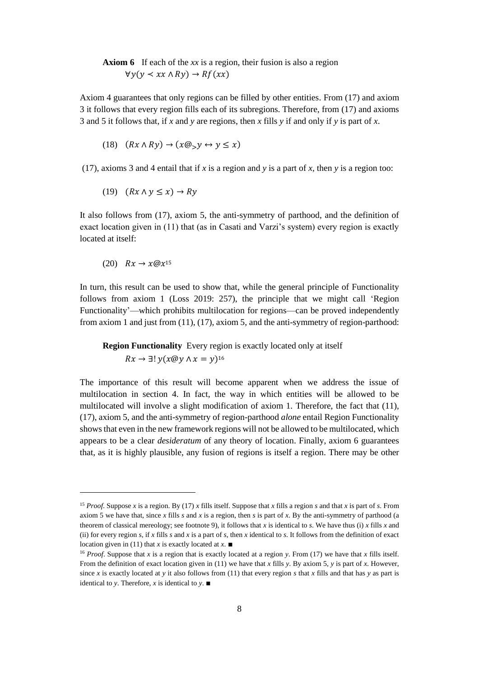# **Axiom 6** If each of the *xx* is a region, their fusion is also a region  $\forall y(y \prec xx \land Ry) \rightarrow Rf(xx)$

Axiom 4 guarantees that only regions can be filled by other entities. From (17) and axiom 3 it follows that every region fills each of its subregions. Therefore, from (17) and axioms 3 and 5 it follows that, if *x* and *y* are regions, then *x* fills *y* if and only if *y* is part of *x*.

$$
(18)\quad (Rx \land Ry) \to (x@_{>}y \leftrightarrow y \leq x)
$$

(17), axioms 3 and 4 entail that if *x* is a region and *y* is a part of *x*, then *y* is a region too:

$$
(19) \quad (Rx \land y \le x) \to Ry
$$

It also follows from (17), axiom 5, the anti-symmetry of parthood, and the definition of exact location given in (11) that (as in Casati and Varzi's system) every region is exactly located at itself:

$$
(20) \quad Rx \to x@x^{15}
$$

l

In turn, this result can be used to show that, while the general principle of Functionality follows from axiom 1 (Loss 2019: 257), the principle that we might call 'Region Functionality'—which prohibits multilocation for regions—can be proved independently from axiom 1 and just from (11), (17), axiom 5, and the anti-symmetry of region-parthood:

**Region Functionality** Every region is exactly located only at itself  $Rx \to \exists! y (x \mathcal{Q} y \land x = y)^{16}$ 

The importance of this result will become apparent when we address the issue of multilocation in section 4. In fact, the way in which entities will be allowed to be multilocated will involve a slight modification of axiom 1. Therefore, the fact that (11), (17), axiom 5, and the anti-symmetry of region-parthood *alone* entail Region Functionality shows that even in the new framework regions will not be allowed to be multilocated, which appears to be a clear *desideratum* of any theory of location. Finally, axiom 6 guarantees that, as it is highly plausible, any fusion of regions is itself a region. There may be other

<sup>15</sup> *Proof*. Suppose *x* is a region. By (17) *x* fills itself. Suppose that *x* fills a region *s* and that *x* is part of *s*. From axiom 5 we have that, since  $x$  fills  $s$  and  $x$  is a region, then  $s$  is part of  $x$ . By the anti-symmetry of parthood (a theorem of classical mereology; see footnote 9), it follows that *x* is identical to *s*. We have thus (i) *x* fills *x* and (ii) for every region *s*, if *x* fills *s* and *x* is a part of *s*, then *x* identical to *s*. It follows from the definition of exact location given in (11) that *x* is exactly located at *x*.  $\blacksquare$ 

<sup>16</sup> *Proof*. Suppose that *x* is a region that is exactly located at a region *y*. From (17) we have that *x* fills itself. From the definition of exact location given in (11) we have that *x* fills *y*. By axiom 5, *y* is part of *x*. However, since *x* is exactly located at *y* it also follows from (11) that every region *s* that *x* fills and that has *y* as part is identical to *y*. Therefore, *x* is identical to *y*.  $\blacksquare$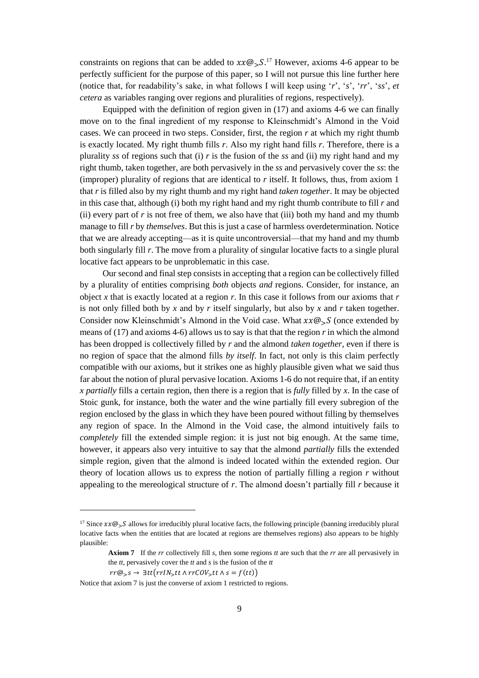constraints on regions that can be added to  $xx@_{>}S$ .<sup>17</sup> However, axioms 4-6 appear to be perfectly sufficient for the purpose of this paper, so I will not pursue this line further here (notice that, for readability's sake, in what follows I will keep using '*r*', '*s*', '*rr*', '*ss*', *et cetera* as variables ranging over regions and pluralities of regions, respectively).

Equipped with the definition of region given in (17) and axioms 4-6 we can finally move on to the final ingredient of my response to Kleinschmidt's Almond in the Void cases. We can proceed in two steps. Consider, first, the region *r* at which my right thumb is exactly located. My right thumb fills *r*. Also my right hand fills *r*. Therefore, there is a plurality *ss* of regions such that (i) *r* is the fusion of the *ss* and (ii) my right hand and my right thumb, taken together, are both pervasively in the *ss* and pervasively cover the *ss*: the (improper) plurality of regions that are identical to *r* itself. It follows, thus, from axiom 1 that *r* is filled also by my right thumb and my right hand *taken together*. It may be objected in this case that, although (i) both my right hand and my right thumb contribute to fill *r* and (ii) every part of *r* is not free of them, we also have that (iii) both my hand and my thumb manage to fill *r* by *themselves*. But this is just a case of harmless overdetermination. Notice that we are already accepting—as it is quite uncontroversial—that my hand and my thumb both singularly fill *r*. The move from a plurality of singular locative facts to a single plural locative fact appears to be unproblematic in this case.

Our second and final step consists in accepting that a region can be collectively filled by a plurality of entities comprising *both* objects *and* regions. Consider, for instance, an object *x* that is exactly located at a region *r*. In this case it follows from our axioms that *r* is not only filled both by *x* and by *r* itself singularly, but also by *x* and *r* taken together. Consider now Kleinschmidt's Almond in the Void case. What  $xx@\_S$  (once extended by means of (17) and axioms 4-6) allows us to say is that that the region *r* in which the almond has been dropped is collectively filled by *r* and the almond *taken together*, even if there is no region of space that the almond fills *by itself*. In fact, not only is this claim perfectly compatible with our axioms, but it strikes one as highly plausible given what we said thus far about the notion of plural pervasive location. Axioms 1-6 do not require that, if an entity *x partially* fills a certain region, then there is a region that is *fully* filled by *x*. In the case of Stoic gunk, for instance, both the water and the wine partially fill every subregion of the region enclosed by the glass in which they have been poured without filling by themselves any region of space. In the Almond in the Void case, the almond intuitively fails to *completely* fill the extended simple region: it is just not big enough. At the same time, however, it appears also very intuitive to say that the almond *partially* fills the extended simple region, given that the almond is indeed located within the extended region. Our theory of location allows us to express the notion of partially filling a region *r* without appealing to the mereological structure of *r*. The almond doesn't partially fill *r* because it

$$
rr@_{>S} \rightarrow \exists tt\big(rrlN_{>}tt\wedge rrCOV_{>}tt\wedge s=f(tt)\big)
$$

 $\overline{a}$ 

Notice that axiom 7 is just the converse of axiom 1 restricted to regions.

<sup>&</sup>lt;sup>17</sup> Since  $xx@_{>S}$  allows for irreducibly plural locative facts, the following principle (banning irreducibly plural locative facts when the entities that are located at regions are themselves regions) also appears to be highly plausible:

**Axiom 7** If the *rr* collectively fill *s*, then some regions *tt* are such that the *rr* are all pervasively in the *tt*, pervasively cover the *tt* and *s* is the fusion of the *tt*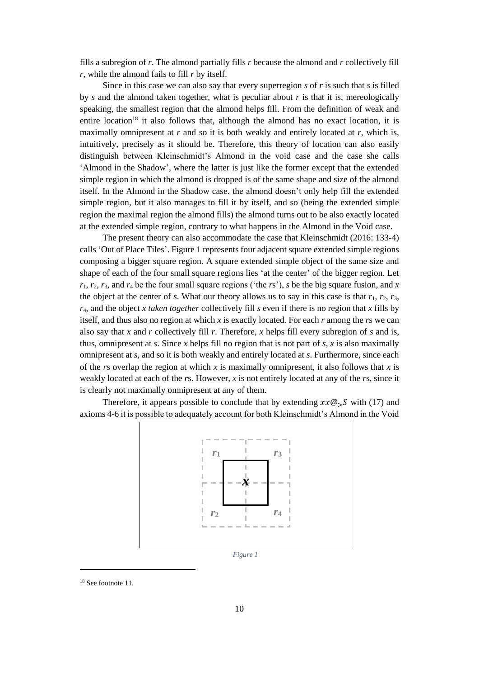fills a subregion of *r*. The almond partially fills *r* because the almond and *r* collectively fill *r*, while the almond fails to fill *r* by itself.

Since in this case we can also say that every superregion *s* of *r* is such that *s* is filled by *s* and the almond taken together, what is peculiar about *r* is that it is, mereologically speaking, the smallest region that the almond helps fill. From the definition of weak and entire location<sup>18</sup> it also follows that, although the almond has no exact location, it is maximally omnipresent at  $r$  and so it is both weakly and entirely located at  $r$ , which is, intuitively, precisely as it should be. Therefore, this theory of location can also easily distinguish between Kleinschmidt's Almond in the void case and the case she calls 'Almond in the Shadow', where the latter is just like the former except that the extended simple region in which the almond is dropped is of the same shape and size of the almond itself. In the Almond in the Shadow case, the almond doesn't only help fill the extended simple region, but it also manages to fill it by itself, and so (being the extended simple region the maximal region the almond fills) the almond turns out to be also exactly located at the extended simple region, contrary to what happens in the Almond in the Void case.

The present theory can also accommodate the case that Kleinschmidt (2016: 133-4) calls 'Out of Place Tiles'. Figure 1 represents four adjacent square extended simple regions composing a bigger square region. A square extended simple object of the same size and shape of each of the four small square regions lies 'at the center' of the bigger region. Let  $r_1$ ,  $r_2$ ,  $r_3$ , and  $r_4$  be the four small square regions ('the *rs*'), *s* be the big square fusion, and *x* the object at the center of *s*. What our theory allows us to say in this case is that  $r_1$ ,  $r_2$ ,  $r_3$ , *r*4, and the object *x taken together* collectively fill *s* even if there is no region that *x* fills by itself, and thus also no region at which *x* is exactly located. For each *r* among the *r*s we can also say that *x* and *r* collectively fill *r*. Therefore, *x* helps fill every subregion of *s* and is, thus, omnipresent at *s*. Since *x* helps fill no region that is not part of *s*, *x* is also maximally omnipresent at *s*, and so it is both weakly and entirely located at *s*. Furthermore, since each of the *r*s overlap the region at which *x* is maximally omnipresent, it also follows that *x* is weakly located at each of the *r*s. However, *x* is not entirely located at any of the *r*s, since it is clearly not maximally omnipresent at any of them.

Therefore, it appears possible to conclude that by extending  $xx@_{S}S$  with (17) and axioms 4-6 it is possible to adequately account for both Kleinschmidt's Almond in the Void



*Figure 1*

<sup>18</sup> See footnote 11.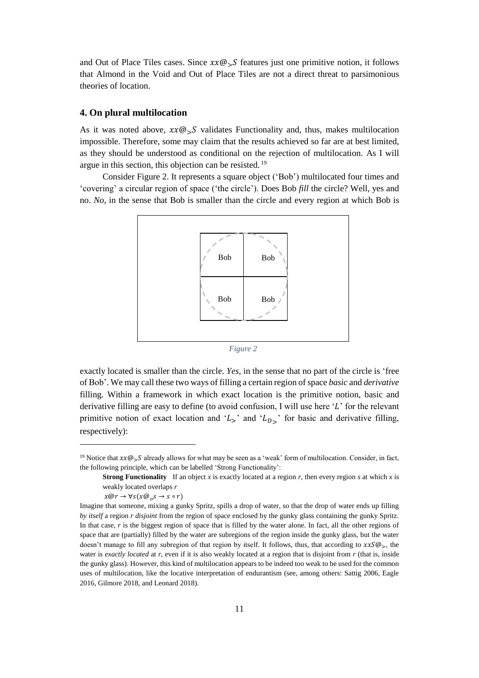and Out of Place Tiles cases. Since  $xx@_{>}S$  features just one primitive notion, it follows that Almond in the Void and Out of Place Tiles are not a direct threat to parsimonious theories of location.

# **4. On plural multilocation**

As it was noted above,  $xx@_{S}S$  validates Functionality and, thus, makes multilocation impossible. Therefore, some may claim that the results achieved so far are at best limited, as they should be understood as conditional on the rejection of multilocation. As I will argue in this section, this objection can be resisted.<sup>19</sup>

Consider Figure 2. It represents a square object ('Bob') multilocated four times and 'covering' a circular region of space ('the circle'). Does Bob *fill* the circle? Well, yes and no. *No*, in the sense that Bob is smaller than the circle and every region at which Bob is



*Figure 2*

exactly located is smaller than the circle. *Yes*, in the sense that no part of the circle is 'free of Bob'. We may call these two ways of filling a certain region of space *basic* and *derivative* filling. Within a framework in which exact location is the primitive notion, basic and derivative filling are easy to define (to avoid confusion, I will use here  $L'$  for the relevant primitive notion of exact location and ' $L_{\geq}$ ' and ' $L_{D_{\geq}}$ ' for basic and derivative filling, respectively):

<sup>&</sup>lt;sup>19</sup> Notice that  $xx@_{\sim}S$  already allows for what may be seen as a 'weak' form of multilocation. Consider, in fact, the following principle, which can be labelled 'Strong Functionality':

**Strong Functionality** If an object *x* is exactly located at a region *r*, then every region *s* at which *x* is weakly located overlaps *r*

 $x@r \rightarrow \forall s(x@_0s \rightarrow s \circ r)$ 

Imagine that someone, mixing a gunky Spritz, spills a drop of water, so that the drop of water ends up filling *by itself* a region *r disjoint* from the region of space enclosed by the gunky glass containing the gunky Spritz. In that case, *r* is the biggest region of space that is filled by the water alone. In fact, all the other regions of space that are (partially) filled by the water are subregions of the region inside the gunky glass, but the water doesn't manage to fill any subregion of that region by itself. It follows, thus, that according to  $xxS\omega_{\infty}$ , the water is *exactly located* at *r*, even if it is also weakly located at a region that is disjoint from *r* (that is, inside the gunky glass). However, this kind of multilocation appears to be indeed too weak to be used for the common uses of multilocation, like the locative interpretation of endurantism (see, among others: Sattig 2006, Eagle 2016, Gilmore 2018, and Leonard 2018).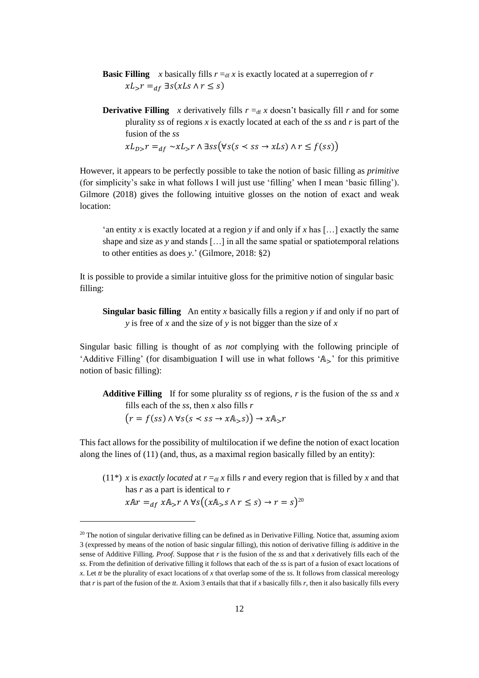- **Basic Filling** *x* basically fills  $r = d f x$  is exactly located at a superregion of *r*  $xL_{>}r =_{df} \exists s(xLs \land r \leq s)$
- **Derivative Filling** *x* derivatively fills  $r =_{df} x$  doesn't basically fill *r* and for some plurality *ss* of regions *x* is exactly located at each of the *ss* and *r* is part of the fusion of the *ss*

 $xL_{D}$ ,  $r =_{df} \sim xL$ ,  $r \wedge \exists ss (\forall s (s \prec ss \rightarrow xLs) \wedge r \le f(ss))$ 

However, it appears to be perfectly possible to take the notion of basic filling as *primitive* (for simplicity's sake in what follows I will just use 'filling' when I mean 'basic filling'). Gilmore (2018) gives the following intuitive glosses on the notion of exact and weak location:

'an entity *x* is exactly located at a region *y* if and only if *x* has […] exactly the same shape and size as *y* and stands […] in all the same spatial or spatiotemporal relations to other entities as does *y*.' (Gilmore, 2018: §2)

It is possible to provide a similar intuitive gloss for the primitive notion of singular basic filling:

**Singular basic filling** An entity *x* basically fills a region *y* if and only if no part of *y* is free of *x* and the size of *y* is not bigger than the size of *x*

Singular basic filling is thought of as *not* complying with the following principle of 'Additive Filling' (for disambiguation I will use in what follows ' $\mathbb{A}_{\leq}$ ' for this primitive notion of basic filling):

**Additive Filling** If for some plurality *ss* of regions, *r* is the fusion of the *ss* and *x* fills each of the *ss*, then *x* also fills *r*

 $(r = f(ss) \land \forall s(s \prec ss \rightarrow xA_{>}s) \rightarrow xA_{>}r$ 

This fact allows for the possibility of multilocation if we define the notion of exact location along the lines of  $(11)$  (and, thus, as a maximal region basically filled by an entity):

 $(11^*)$  *x* is *exactly located* at  $r =_{df} x$  fills *r* and every region that is filled by *x* and that has *r* as a part is identical to *r*

$$
xAr =_{df} xA_{>}r \wedge \forall s \big( (xA_{>}s \wedge r \le s) \rightarrow r = s \big)^{20}
$$

 $^{20}$  The notion of singular derivative filling can be defined as in Derivative Filling. Notice that, assuming axiom 3 (expressed by means of the notion of basic singular filling), this notion of derivative filling *is* additive in the sense of Additive Filling. *Proof*. Suppose that *r* is the fusion of the *ss* and that *x* derivatively fills each of the *ss*. From the definition of derivative filling it follows that each of the *ss* is part of a fusion of exact locations of *x*. Let *tt* be the plurality of exact locations of *x* that overlap some of the *ss*. It follows from classical mereology that *r* is part of the fusion of the *tt*. Axiom 3 entails that that if *x* basically fills *r*, then it also basically fills every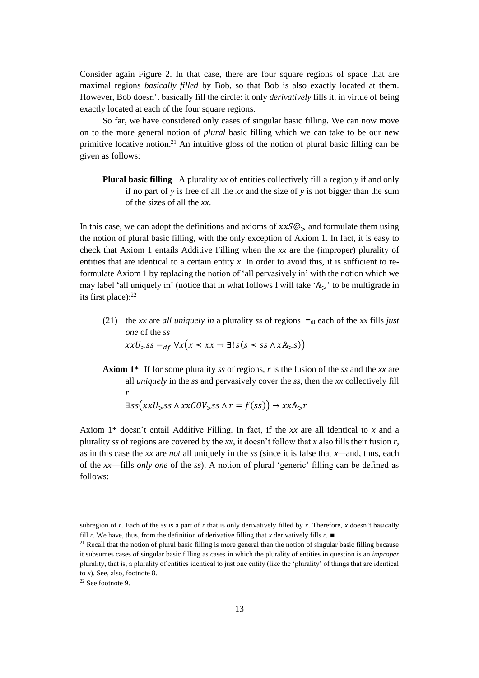Consider again Figure 2. In that case, there are four square regions of space that are maximal regions *basically filled* by Bob, so that Bob is also exactly located at them. However, Bob doesn't basically fill the circle: it only *derivatively* fills it, in virtue of being exactly located at each of the four square regions.

So far, we have considered only cases of singular basic filling. We can now move on to the more general notion of *plural* basic filling which we can take to be our new primitive locative notion.<sup>21</sup> An intuitive gloss of the notion of plural basic filling can be given as follows:

**Plural basic filling** A plurality *xx* of entities collectively fill a region *y* if and only if no part of *y* is free of all the *xx* and the size of *y* is not bigger than the sum of the sizes of all the *xx*.

In this case, we can adopt the definitions and axioms of  $xxS\omega_{\gamma}$  and formulate them using the notion of plural basic filling, with the only exception of Axiom 1. In fact, it is easy to check that Axiom 1 entails Additive Filling when the *xx* are the (improper) plurality of entities that are identical to a certain entity *x*. In order to avoid this, it is sufficient to reformulate Axiom 1 by replacing the notion of 'all pervasively in' with the notion which we may label 'all uniquely in' (notice that in what follows I will take ' $A_{\geq}$ ' to be multigrade in its first place):<sup>22</sup>

(21) the *xx* are *all uniquely in* a plurality *ss* of regions  $=$ <sub>df</sub> each of the *xx* fills *just one* of the *ss*

$$
xxU_{>}ss =_{df} \forall x \big(x \prec xx \rightarrow \exists! s (s \prec ss \land xA_{>}s)\big)
$$

**Axiom 1\*** If for some plurality *ss* of regions, *r* is the fusion of the *ss* and the *xx* are all *uniquely* in the *ss* and pervasively cover the *ss*, then the *xx* collectively fill *r*

$$
\exists ss(xxU_{>}ss \land xxCOV_{>}ss \land r = f(ss)) \rightarrow xxA_{>}r
$$

Axiom 1\* doesn't entail Additive Filling. In fact, if the *xx* are all identical to *x* and a plurality *ss* of regions are covered by the *xx*, it doesn't follow that *x* also fills their fusion *r*, as in this case the *xx* are *not* all uniquely in the *ss* (since it is false that *x—*and, thus, each of the *xx*—fills *only one* of the *ss*). A notion of plural 'generic' filling can be defined as follows:

 $\overline{a}$ 

subregion of *r*. Each of the *ss* is a part of *r* that is only derivatively filled by *x*. Therefore, *x* doesn't basically fill *r*. We have, thus, from the definition of derivative filling that *x* derivatively fills *r*. ■

 $21$  Recall that the notion of plural basic filling is more general than the notion of singular basic filling because it subsumes cases of singular basic filling as cases in which the plurality of entities in question is an *improper* plurality, that is, a plurality of entities identical to just one entity (like the 'plurality' of things that are identical to *x*). See, also, footnote 8.

<sup>22</sup> See footnote 9.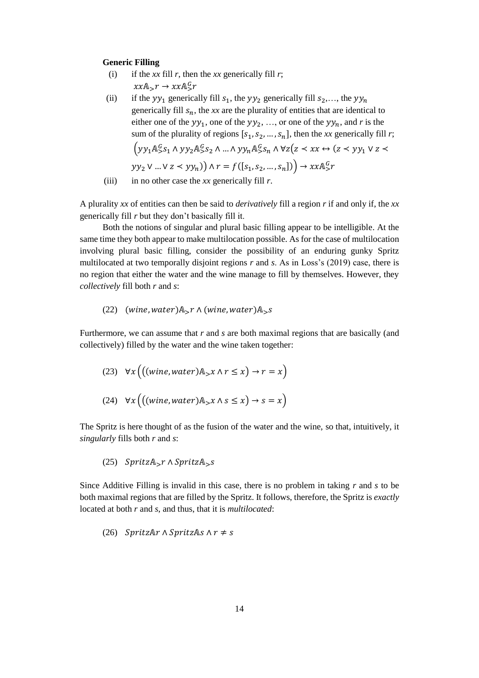### **Generic Filling**

- (i) if the *xx* fill *r*, then the *xx* generically fill *r*;  $xxA_{>}r \rightarrow xxA_{>}^G r$
- (ii) if the  $yy_1$  generically fill  $s_1$ , the  $yy_2$  generically fill  $s_2,...$ , the  $yy_n$ generically fill  $s_n$ , the *xx* are the plurality of entities that are identical to either one of the  $yy_1$ , one of the  $yy_2$ , ..., or one of the  $yy_n$ , and *r* is the sum of the plurality of regions  $[s_1, s_2, ..., s_n]$ , then the *xx* generically fill *r*;  $\left( yy_1 \mathbb{A}^G_5 s_1 \wedge yy_2 \mathbb{A}^G_5 s_2 \wedge ... \wedge yy_n \mathbb{A}^G_5 s_n \wedge \forall z (z \prec xx \leftrightarrow (z \prec yy_1 \vee z \prec$  $yy_2 \vee ... \vee z \leq yy_n)$ )  $\wedge r = f([s_1, s_2, ..., s_n])$ )  $\rightarrow xx \mathbb{A}^G_s r$
- (iii) in no other case the  $xx$  generically fill  $r$ .

A plurality *xx* of entities can then be said to *derivatively* fill a region *r* if and only if, the *xx* generically fill *r* but they don't basically fill it.

Both the notions of singular and plural basic filling appear to be intelligible. At the same time they both appear to make multilocation possible. As for the case of multilocation involving plural basic filling, consider the possibility of an enduring gunky Spritz multilocated at two temporally disjoint regions *r* and *s*. As in Loss's (2019) case, there is no region that either the water and the wine manage to fill by themselves. However, they *collectively* fill both *r* and *s*:

(22) (wine, water)
$$
A_{>r} \wedge (wine, water)A_{>s}
$$

Furthermore, we can assume that *r* and *s* are both maximal regions that are basically (and collectively) filled by the water and the wine taken together:

(23) 
$$
\forall x ((\text{wine}, \text{water}) \mathbb{A}_{>} x \land r \leq x) \rightarrow r = x)
$$
  
(24)  $\forall x (((\text{wire}, \text{water}) \mathbb{A}_{>} x \land s \leq x) \rightarrow s = x)$ 

The Spritz is here thought of as the fusion of the water and the wine, so that, intuitively, it *singularly* fills both *r* and *s*:

(25)  $SpritzA<sub>></sub>r \wedge SpritzA<sub>></sub>s$ 

Since Additive Filling is invalid in this case, there is no problem in taking *r* and *s* to be both maximal regions that are filled by the Spritz. It follows, therefore, the Spritz is *exactly* located at both *r* and *s*, and thus, that it is *multilocated*:

(26) *SpritzAr*  $\land$  *SpritzAs*  $\land$   $r \neq s$